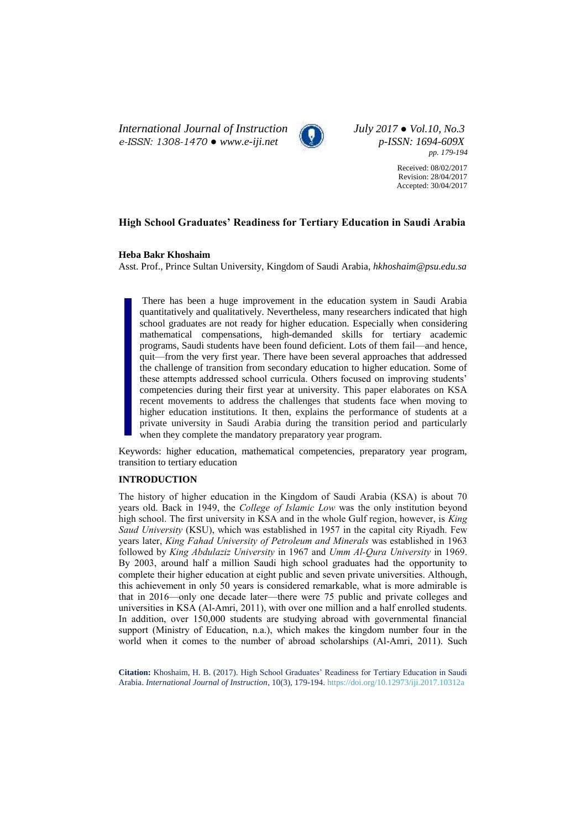*International Journal of Instruction July 2017 ● Vol.10, No.3 e-ISSN: 1308-1470 ● [www.e-iji.net](http://www.e-iji.net/) p-ISSN: 1694-609X*



*pp. 179-194*

Received: 08/02/2017 Revision: 28/04/2017 Accepted: 30/04/2017

# **High School Graduates' Readiness for Tertiary Education in Saudi Arabia**

#### **Heba Bakr Khoshaim**

Asst. Prof., Prince Sultan University, Kingdom of Saudi Arabia, *[hkhoshaim@psu.edu.sa](mailto:hkhoshaim@psu.edu.sa)*

There has been a huge improvement in the education system in Saudi Arabia quantitatively and qualitatively. Nevertheless, many researchers indicated that high school graduates are not ready for higher education. Especially when considering mathematical compensations, high-demanded skills for tertiary academic programs, Saudi students have been found deficient. Lots of them fail—and hence, quit—from the very first year. There have been several approaches that addressed the challenge of transition from secondary education to higher education. Some of these attempts addressed school curricula. Others focused on improving students' competencies during their first year at university. This paper elaborates on KSA recent movements to address the challenges that students face when moving to higher education institutions. It then, explains the performance of students at a private university in Saudi Arabia during the transition period and particularly when they complete the mandatory preparatory year program.

Keywords: higher education, mathematical competencies, preparatory year program, transition to tertiary education

# **INTRODUCTION**

The history of higher education in the Kingdom of Saudi Arabia (KSA) is about 70 years old. Back in 1949, the *College of Islamic Low* was the only institution beyond high school. The first university in KSA and in the whole Gulf region, however, is *King Saud University* (KSU), which was established in 1957 in the capital city Riyadh. Few years later, *King Fahad University of Petroleum and Minerals* was established in 1963 followed by *King Abdulaziz University* in 1967 and *Umm Al-Qura University* in 1969. By 2003, around half a million Saudi high school graduates had the opportunity to complete their higher education at eight public and seven private universities. Although, this achievement in only 50 years is considered remarkable, what is more admirable is that in 2016—only one decade later—there were 75 public and private colleges and universities in KSA (Al-Amri, 2011), with over one million and a half enrolled students. In addition, over 150,000 students are studying abroad with governmental financial support (Ministry of Education, n.a.), which makes the kingdom number four in the world when it comes to the number of abroad scholarships (Al-Amri, 2011). Such

**Citation:** Khoshaim, H. B. (2017). High School Graduates' Readiness for Tertiary Education in Saudi Arabia. *International Journal of Instruction*, 10(3), 179-194. <https://doi.org/10.12973/iji.2017.10312a>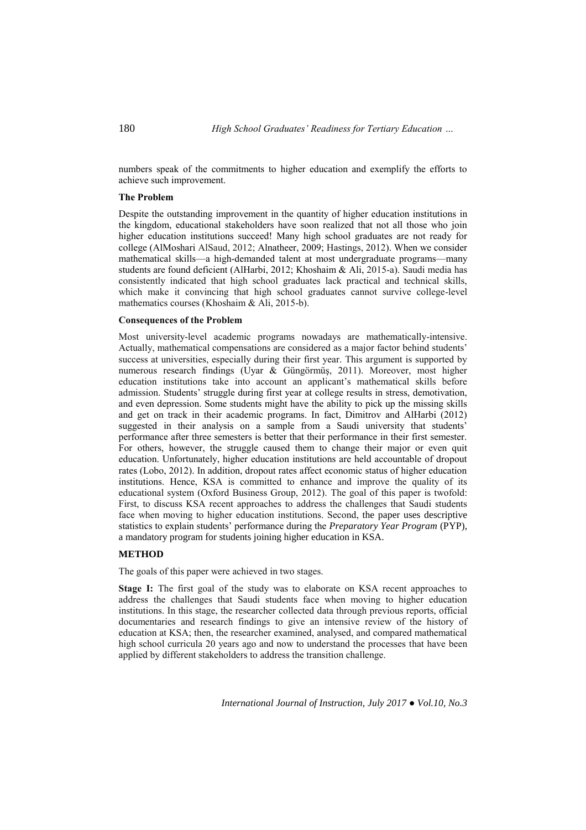numbers speak of the commitments to higher education and exemplify the efforts to achieve such improvement.

### **The Problem**

Despite the outstanding improvement in the quantity of higher education institutions in the kingdom, educational stakeholders have soon realized that not all those who join higher education institutions succeed! Many high school graduates are not ready for college (AlMoshari AlSaud, 2012; Alnatheer, 2009; Hastings, 2012). When we consider mathematical skills—a high-demanded talent at most undergraduate programs—many students are found deficient (AlHarbi, 2012; Khoshaim & Ali, 2015-a). Saudi media has consistently indicated that high school graduates lack practical and technical skills, which make it convincing that high school graduates cannot survive college-level mathematics courses (Khoshaim & Ali, 2015-b).

#### **Consequences of the Problem**

Most university-level academic programs nowadays are mathematically-intensive. Actually, mathematical compensations are considered as a major factor behind students' success at universities, especially during their first year. This argument is supported by numerous research findings (Uyar & Güngörmüş, 2011). Moreover, most higher education institutions take into account an applicant's mathematical skills before admission. Students' struggle during first year at college results in stress, demotivation, and even depression. Some students might have the ability to pick up the missing skills and get on track in their academic programs. In fact, Dimitrov and AlHarbi (2012) suggested in their analysis on a sample from a Saudi university that students' performance after three semesters is better that their performance in their first semester. For others, however, the struggle caused them to change their major or even quit education. Unfortunately, higher education institutions are held accountable of dropout rates (Lobo, 2012). In addition, dropout rates affect economic status of higher education institutions. Hence, KSA is committed to enhance and improve the quality of its educational system (Oxford Business Group, 2012). The goal of this paper is twofold: First, to discuss KSA recent approaches to address the challenges that Saudi students face when moving to higher education institutions. Second, the paper uses descriptive statistics to explain students' performance during the *Preparatory Year Program* (PYP), a mandatory program for students joining higher education in KSA.

# **METHOD**

The goals of this paper were achieved in two stages.

**Stage I:** The first goal of the study was to elaborate on KSA recent approaches to address the challenges that Saudi students face when moving to higher education institutions. In this stage, the researcher collected data through previous reports, official documentaries and research findings to give an intensive review of the history of education at KSA; then, the researcher examined, analysed, and compared mathematical high school curricula 20 years ago and now to understand the processes that have been applied by different stakeholders to address the transition challenge.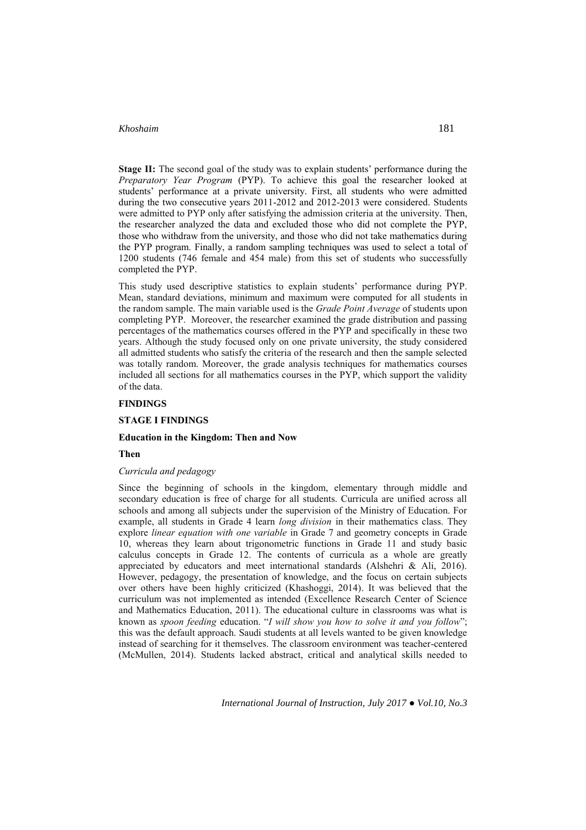**Stage II:** The second goal of the study was to explain students' performance during the *Preparatory Year Program* (PYP). To achieve this goal the researcher looked at students' performance at a private university. First, all students who were admitted during the two consecutive years 2011-2012 and 2012-2013 were considered. Students were admitted to PYP only after satisfying the admission criteria at the university. Then, the researcher analyzed the data and excluded those who did not complete the PYP, those who withdraw from the university, and those who did not take mathematics during the PYP program. Finally, a random sampling techniques was used to select a total of 1200 students (746 female and 454 male) from this set of students who successfully completed the PYP.

This study used descriptive statistics to explain students' performance during PYP. Mean, standard deviations, minimum and maximum were computed for all students in the random sample. The main variable used is the *Grade Point Average* of students upon completing PYP. Moreover, the researcher examined the grade distribution and passing percentages of the mathematics courses offered in the PYP and specifically in these two years. Although the study focused only on one private university, the study considered all admitted students who satisfy the criteria of the research and then the sample selected was totally random. Moreover, the grade analysis techniques for mathematics courses included all sections for all mathematics courses in the PYP, which support the validity of the data.

#### **FINDINGS**

#### **STAGE I FINDINGS**

#### **Education in the Kingdom: Then and Now**

#### **Then**

### *Curricula and pedagogy*

Since the beginning of schools in the kingdom, elementary through middle and secondary education is free of charge for all students. Curricula are unified across all schools and among all subjects under the supervision of the Ministry of Education. For example, all students in Grade 4 learn *long division* in their mathematics class. They explore *linear equation with one variable* in Grade 7 and geometry concepts in Grade 10, whereas they learn about trigonometric functions in Grade 11 and study basic calculus concepts in Grade 12. The contents of curricula as a whole are greatly appreciated by educators and meet international standards (Alshehri & Ali, 2016). However, pedagogy, the presentation of knowledge, and the focus on certain subjects over others have been highly criticized (Khashoggi, 2014). It was believed that the curriculum was not implemented as intended (Excellence Research Center of Science and Mathematics Education, 2011). The educational culture in classrooms was what is known as *spoon feeding* education. "*I will show you how to solve it and you follow*"; this was the default approach. Saudi students at all levels wanted to be given knowledge instead of searching for it themselves. The classroom environment was teacher-centered (McMullen, 2014). Students lacked abstract, critical and analytical skills needed to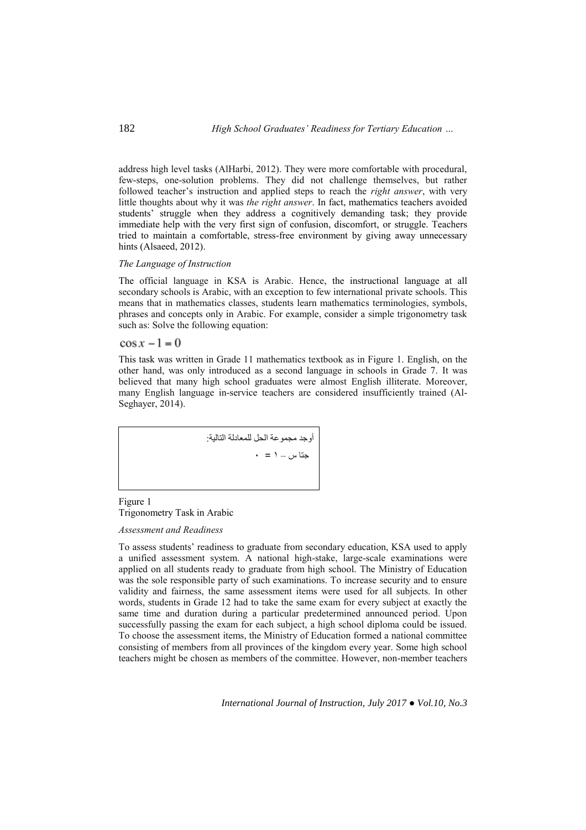address high level tasks (AlHarbi, 2012). They were more comfortable with procedural, few-steps, one-solution problems. They did not challenge themselves, but rather followed teacher's instruction and applied steps to reach the *right answer*, with very little thoughts about why it was *the right answer*. In fact, mathematics teachers avoided students' struggle when they address a cognitively demanding task; they provide immediate help with the very first sign of confusion, discomfort, or struggle. Teachers tried to maintain a comfortable, stress-free environment by giving away unnecessary hints (Alsaeed, 2012).

# *The Language of Instruction*

The official language in KSA is Arabic. Hence, the instructional language at all secondary schools is Arabic, with an exception to few international private schools. This means that in mathematics classes, students learn mathematics terminologies, symbols, phrases and concepts only in Arabic. For example, consider a simple trigonometry task such as: Solve the following equation:

 $\cos x - 1 = 0$ 

This task was written in Grade 11 mathematics textbook as in Figure 1. English, on the other hand, was only introduced as a second language in schools in Grade 7. It was believed that many high school graduates were almost English illiterate. Moreover, many English language in-service teachers are considered insufficiently trained (Al-Seghayer, 2014).

أوجد مجموعة الحل للمعادلة التالية: جتا س – ١ = ٠

Figure 1 Trigonometry Task in Arabic

#### *Assessment and Readiness*

To assess students' readiness to graduate from secondary education, KSA used to apply a unified assessment system. A national high-stake, large-scale examinations were applied on all students ready to graduate from high school. The Ministry of Education was the sole responsible party of such examinations. To increase security and to ensure validity and fairness, the same assessment items were used for all subjects. In other words, students in Grade 12 had to take the same exam for every subject at exactly the same time and duration during a particular predetermined announced period. Upon successfully passing the exam for each subject, a high school diploma could be issued. To choose the assessment items, the Ministry of Education formed a national committee consisting of members from all provinces of the kingdom every year. Some high school teachers might be chosen as members of the committee. However, non-member teachers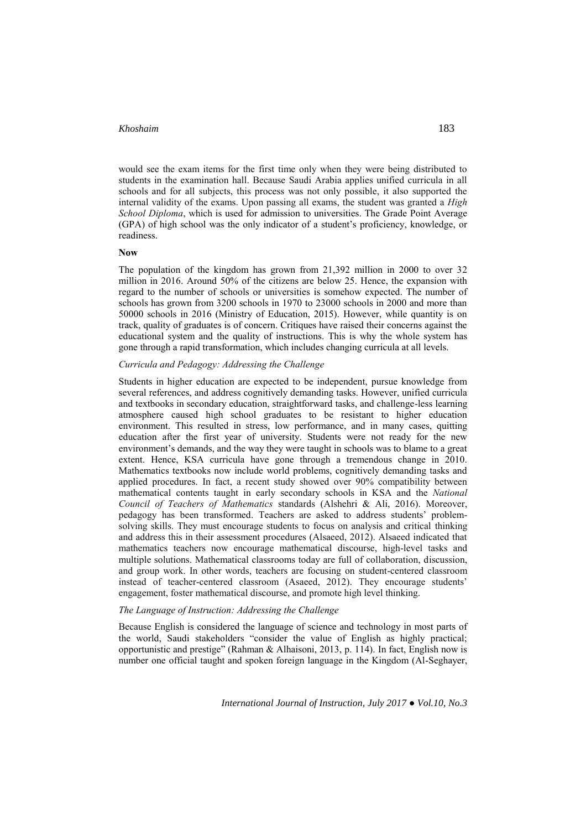would see the exam items for the first time only when they were being distributed to students in the examination hall. Because Saudi Arabia applies unified curricula in all schools and for all subjects, this process was not only possible, it also supported the internal validity of the exams. Upon passing all exams, the student was granted a *High School Diploma*, which is used for admission to universities. The Grade Point Average (GPA) of high school was the only indicator of a student's proficiency, knowledge, or readiness.

#### **Now**

The population of the kingdom has grown from 21,392 million in 2000 to over 32 million in 2016. Around 50% of the citizens are below 25. Hence, the expansion with regard to the number of schools or universities is somehow expected. The number of schools has grown from 3200 schools in 1970 to 23000 schools in 2000 and more than 50000 schools in 2016 (Ministry of Education, 2015). However, while quantity is on track, quality of graduates is of concern. Critiques have raised their concerns against the educational system and the quality of instructions. This is why the whole system has gone through a rapid transformation, which includes changing curricula at all levels.

#### *Curricula and Pedagogy: Addressing the Challenge*

Students in higher education are expected to be independent, pursue knowledge from several references, and address cognitively demanding tasks. However, unified curricula and textbooks in secondary education, straightforward tasks, and challenge-less learning atmosphere caused high school graduates to be resistant to higher education environment. This resulted in stress, low performance, and in many cases, quitting education after the first year of university. Students were not ready for the new environment's demands, and the way they were taught in schools was to blame to a great extent. Hence, KSA curricula have gone through a tremendous change in 2010. Mathematics textbooks now include world problems, cognitively demanding tasks and applied procedures. In fact, a recent study showed over 90% compatibility between mathematical contents taught in early secondary schools in KSA and the *National Council of Teachers of Mathematics* standards (Alshehri & Ali, 2016). Moreover, pedagogy has been transformed. Teachers are asked to address students' problemsolving skills. They must encourage students to focus on analysis and critical thinking and address this in their assessment procedures (Alsaeed, 2012). Alsaeed indicated that mathematics teachers now encourage mathematical discourse, high-level tasks and multiple solutions. Mathematical classrooms today are full of collaboration, discussion, and group work. In other words, teachers are focusing on student-centered classroom instead of teacher-centered classroom (Asaeed, 2012). They encourage students' engagement, foster mathematical discourse, and promote high level thinking.

### *The Language of Instruction: Addressing the Challenge*

Because English is considered the language of science and technology in most parts of the world, Saudi stakeholders "consider the value of English as highly practical; opportunistic and prestige" (Rahman & Alhaisoni, 2013, p. 114). In fact, English now is number one official taught and spoken foreign language in the Kingdom (Al-Seghayer,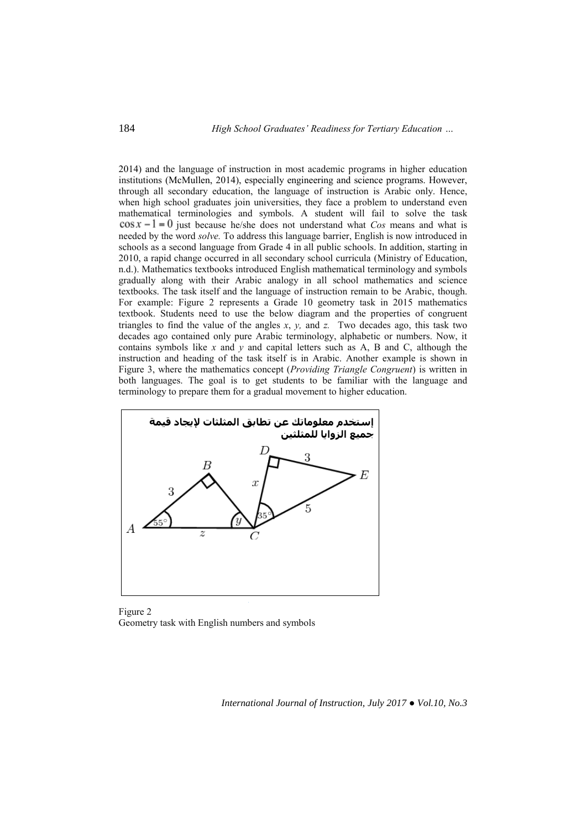2014) and the language of instruction in most academic programs in higher education institutions (McMullen, 2014), especially engineering and science programs. However, through all secondary education, the language of instruction is Arabic only. Hence, when high school graduates join universities, they face a problem to understand even mathematical terminologies and symbols. A student will fail to solve the task  $\cos x - 1 = 0$  just because he/she does not understand what *Cos* means and what is needed by the word *solve.* To address this language barrier, English is now introduced in schools as a second language from Grade 4 in all public schools. In addition, starting in 2010, a rapid change occurred in all secondary school curricula (Ministry of Education, n.d.). Mathematics textbooks introduced English mathematical terminology and symbols gradually along with their Arabic analogy in all school mathematics and science textbooks. The task itself and the language of instruction remain to be Arabic, though. For example: Figure 2 represents a Grade 10 geometry task in 2015 mathematics textbook. Students need to use the below diagram and the properties of congruent triangles to find the value of the angles  $x$ ,  $y$ , and  $z$ . Two decades ago, this task two decades ago contained only pure Arabic terminology, alphabetic or numbers. Now, it contains symbols like *x* and *y* and capital letters such as A, B and C, although the instruction and heading of the task itself is in Arabic. Another example is shown in Figure 3, where the mathematics concept (*Providing Triangle Congruent*) is written in both languages. The goal is to get students to be familiar with the language and terminology to prepare them for a gradual movement to higher education.



Figure 2 Geometry task with English numbers and symbols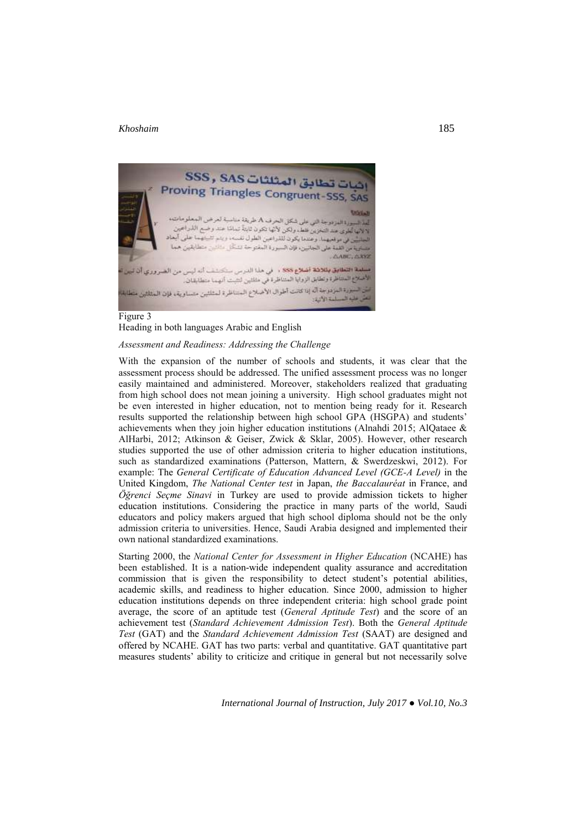

# Heading in both languages Arabic and English

#### *Assessment and Readiness: Addressing the Challenge*

With the expansion of the number of schools and students, it was clear that the assessment process should be addressed. The unified assessment process was no longer easily maintained and administered. Moreover, stakeholders realized that graduating from high school does not mean joining a university. High school graduates might not be even interested in higher education, not to mention being ready for it. Research results supported the relationship between high school GPA (HSGPA) and students' achievements when they join higher education institutions (Alnahdi 2015; AlQataee & AlHarbi, 2012; Atkinson & Geiser, Zwick & Sklar, 2005). However, other research studies supported the use of other admission criteria to higher education institutions, such as standardized examinations (Patterson, Mattern, & Swerdzeskwi, 2012). For example: The *General Certificate of Education Advanced Level (GCE-A Level)* in the United Kingdom, *The National Center test* in Japan, *the Baccalauréat* in France, and *Öğrenci Seçme Sinavi* in Turkey are used to provide admission tickets to higher education institutions. Considering the practice in many parts of the world, Saudi educators and policy makers argued that high school diploma should not be the only admission criteria to universities. Hence, Saudi Arabia designed and implemented their own national standardized examinations.

Starting 2000, the *National Center for Assessment in Higher Education* (NCAHE) has been established. It is a nation-wide independent quality assurance and accreditation commission that is given the responsibility to detect student's potential abilities, academic skills, and readiness to higher education. Since 2000, admission to higher education institutions depends on three independent criteria: high school grade point average, the score of an aptitude test (*General Aptitude Test*) and the score of an achievement test (*Standard Achievement Admission Test*). Both the *General Aptitude Test* (GAT) and the *Standard Achievement Admission Test* (SAAT) are designed and offered by NCAHE. GAT has two parts: verbal and quantitative. GAT quantitative part measures students' ability to criticize and critique in general but not necessarily solve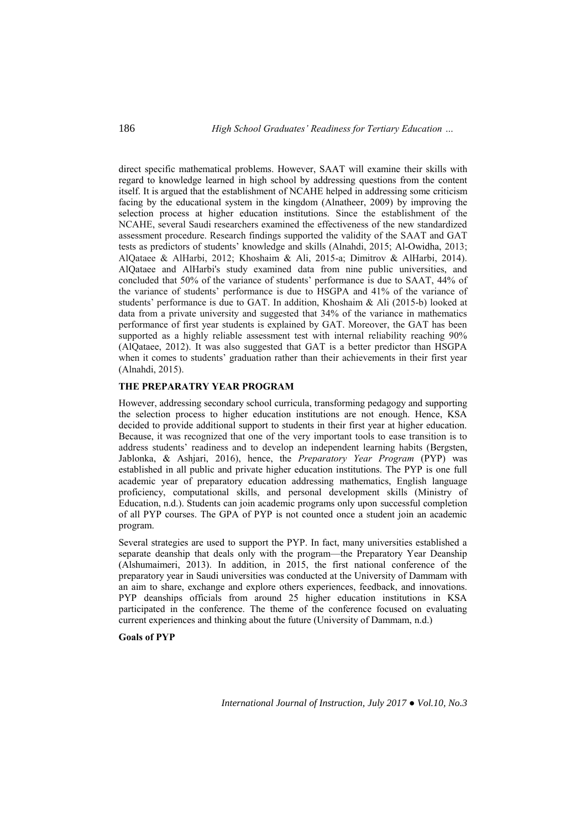direct specific mathematical problems. However, SAAT will examine their skills with regard to knowledge learned in high school by addressing questions from the content itself. It is argued that the establishment of NCAHE helped in addressing some criticism facing by the educational system in the kingdom (Alnatheer, 2009) by improving the selection process at higher education institutions. Since the establishment of the NCAHE, several Saudi researchers examined the effectiveness of the new standardized assessment procedure. Research findings supported the validity of the SAAT and GAT tests as predictors of students' knowledge and skills (Alnahdi, 2015; Al-Owidha, 2013; AlQataee & AlHarbi, 2012; Khoshaim & Ali, 2015-a; Dimitrov & AlHarbi, 2014). AlQataee and AlHarbi's study examined data from nine public universities, and concluded that 50% of the variance of students' performance is due to SAAT, 44% of the variance of students' performance is due to HSGPA and 41% of the variance of students' performance is due to GAT. In addition, Khoshaim & Ali (2015-b) looked at data from a private university and suggested that 34% of the variance in mathematics performance of first year students is explained by GAT. Moreover, the GAT has been supported as a highly reliable assessment test with internal reliability reaching 90% (AlQataee, 2012). It was also suggested that GAT is a better predictor than HSGPA when it comes to students' graduation rather than their achievements in their first year (Alnahdi, 2015).

# **THE PREPARATRY YEAR PROGRAM**

However, addressing secondary school curricula, transforming pedagogy and supporting the selection process to higher education institutions are not enough. Hence, KSA decided to provide additional support to students in their first year at higher education. Because, it was recognized that one of the very important tools to ease transition is to address students' readiness and to develop an independent learning habits (Bergsten, Jablonka, & Ashjari, 2016), hence, the *Preparatory Year Program* (PYP) was established in all public and private higher education institutions. The PYP is one full academic year of preparatory education addressing mathematics, English language proficiency, computational skills, and personal development skills (Ministry of Education, n.d.). Students can join academic programs only upon successful completion of all PYP courses. The GPA of PYP is not counted once a student join an academic program.

Several strategies are used to support the PYP. In fact, many universities established a separate deanship that deals only with the program—the Preparatory Year Deanship (Alshumaimeri, 2013). In addition, in 2015, the first national conference of the preparatory year in Saudi universities was conducted at the University of Dammam with an aim to share, exchange and explore others experiences, feedback, and innovations. PYP deanships officials from around 25 higher education institutions in KSA participated in the conference. The theme of the conference focused on evaluating current experiences and thinking about the future (University of Dammam, n.d.)

## **Goals of PYP**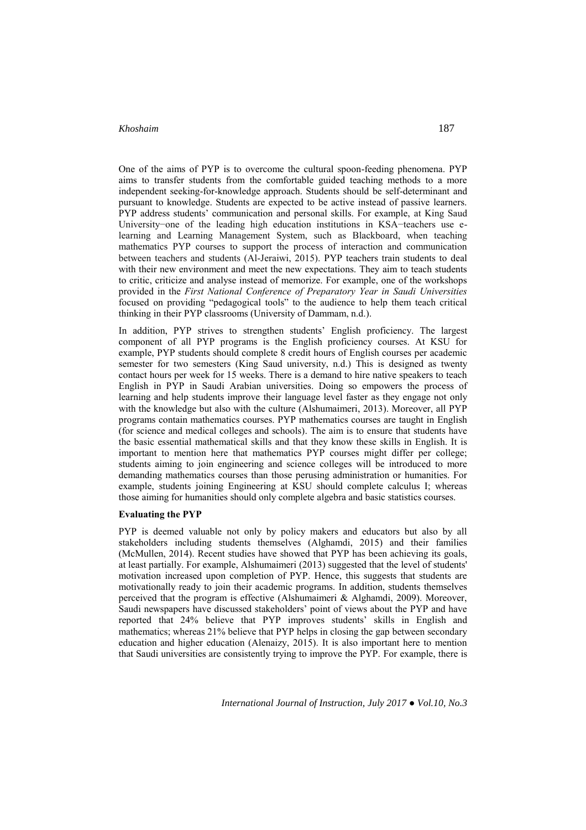One of the aims of PYP is to overcome the cultural spoon-feeding phenomena. PYP aims to transfer students from the comfortable guided teaching methods to a more independent seeking-for-knowledge approach. Students should be self-determinant and pursuant to knowledge. Students are expected to be active instead of passive learners. PYP address students' communication and personal skills. For example, at King Saud University−one of the leading high education institutions in KSA−teachers use elearning and Learning Management System, such as Blackboard, when teaching mathematics PYP courses to support the process of interaction and communication between teachers and students (Al-Jeraiwi, 2015). PYP teachers train students to deal with their new environment and meet the new expectations. They aim to teach students to critic, criticize and analyse instead of memorize. For example, one of the workshops provided in the *First National Conference of Preparatory Year in Saudi Universities* focused on providing "pedagogical tools" to the audience to help them teach critical thinking in their PYP classrooms (University of Dammam, n.d.).

In addition, PYP strives to strengthen students' English proficiency. The largest component of all PYP programs is the English proficiency courses. At KSU for example, PYP students should complete 8 credit hours of English courses per academic semester for two semesters (King Saud university, n.d.) This is designed as twenty contact hours per week for 15 weeks. There is a demand to hire native speakers to teach English in PYP in Saudi Arabian universities. Doing so empowers the process of learning and help students improve their language level faster as they engage not only with the knowledge but also with the culture (Alshumaimeri, 2013). Moreover, all PYP programs contain mathematics courses. PYP mathematics courses are taught in English (for science and medical colleges and schools). The aim is to ensure that students have the basic essential mathematical skills and that they know these skills in English. It is important to mention here that mathematics PYP courses might differ per college; students aiming to join engineering and science colleges will be introduced to more demanding mathematics courses than those perusing administration or humanities. For example, students joining Engineering at KSU should complete calculus I; whereas those aiming for humanities should only complete algebra and basic statistics courses.

#### **Evaluating the PYP**

PYP is deemed valuable not only by policy makers and educators but also by all stakeholders including students themselves (Alghamdi, 2015) and their families (McMullen, 2014). Recent studies have showed that PYP has been achieving its goals, at least partially. For example, Alshumaimeri (2013) suggested that the level of students' motivation increased upon completion of PYP. Hence, this suggests that students are motivationally ready to join their academic programs. In addition, students themselves perceived that the program is effective (Alshumaimeri & Alghamdi, 2009). Moreover, Saudi newspapers have discussed stakeholders' point of views about the PYP and have reported that 24% believe that PYP improves students' skills in English and mathematics; whereas 21% believe that PYP helps in closing the gap between secondary education and higher education (Alenaizy, 2015). It is also important here to mention that Saudi universities are consistently trying to improve the PYP. For example, there is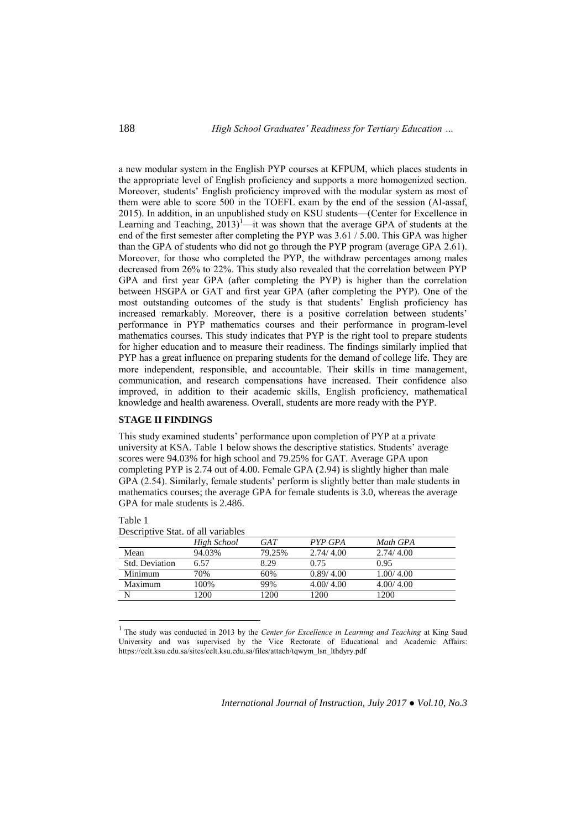a new modular system in the English PYP courses at KFPUM, which places students in the appropriate level of English proficiency and supports a more homogenized section. Moreover, students' English proficiency improved with the modular system as most of them were able to score 500 in the TOEFL exam by the end of the session (Al-assaf, 2015). In addition, in an unpublished study on KSU students—(Center for Excellence in Learning and Teaching,  $2013$ <sup>1</sup>—it was shown that the average GPA of students at the end of the first semester after completing the PYP was  $3.61 / 5.00$ . This GPA was higher than the GPA of students who did not go through the PYP program (average GPA 2.61). Moreover, for those who completed the PYP, the withdraw percentages among males decreased from 26% to 22%. This study also revealed that the correlation between PYP GPA and first year GPA (after completing the PYP) is higher than the correlation between HSGPA or GAT and first year GPA (after completing the PYP). One of the most outstanding outcomes of the study is that students' English proficiency has increased remarkably. Moreover, there is a positive correlation between students' performance in PYP mathematics courses and their performance in program-level mathematics courses. This study indicates that PYP is the right tool to prepare students for higher education and to measure their readiness. The findings similarly implied that PYP has a great influence on preparing students for the demand of college life. They are more independent, responsible, and accountable. Their skills in time management, communication, and research compensations have increased. Their confidence also improved, in addition to their academic skills, English proficiency, mathematical knowledge and health awareness. Overall, students are more ready with the PYP.

## **STAGE II FINDINGS**

This study examined students' performance upon completion of PYP at a private university at KSA. Table 1 below shows the descriptive statistics. Students' average scores were 94.03% for high school and 79.25% for GAT. Average GPA upon completing PYP is  $2.74$  out of  $4.00$ . Female GPA  $(2.94)$  is slightly higher than male GPA (2.54). Similarly, female students' perform is slightly better than male students in mathematics courses; the average GPA for female students is 3.0, whereas the average GPA for male students is 2.486.

| Describitive Blat. Of all variables |             |        |           |           |  |
|-------------------------------------|-------------|--------|-----------|-----------|--|
|                                     | High School | GAT    | PYP GPA   | Math GPA  |  |
| Mean                                | 94.03%      | 79.25% | 2.74/4.00 | 2.74/4.00 |  |
| Std. Deviation                      | 6.57        | 8.29   | 0.75      | 0.95      |  |
| Minimum                             | 70%         | 60%    | 0.89/4.00 | 1.00/4.00 |  |
| Maximum                             | 100%        | 99%    | 4.00/4.00 | 4.00/4.00 |  |
|                                     | 200         | 1200   | 1200      | 1200      |  |

| ×<br>۰.<br>۰.<br>×<br>۰.<br>v |  |
|-------------------------------|--|
|-------------------------------|--|

 $\overline{a}$ 

Descriptive Stat. of all variables

<sup>1</sup> The study was conducted in 2013 by the *Center for Excellence in Learning and Teaching* at King Saud University and was supervised by the Vice Rectorate of Educational and Academic Affairs: [https://celt.ksu.edu.sa/sites/celt.ksu.edu.sa/files/attach/tqwym\\_lsn\\_lthdyry.pdf](https://celt.ksu.edu.sa/sites/celt.ksu.edu.sa/files/attach/tqwym_lsn_lthdyry.pdf)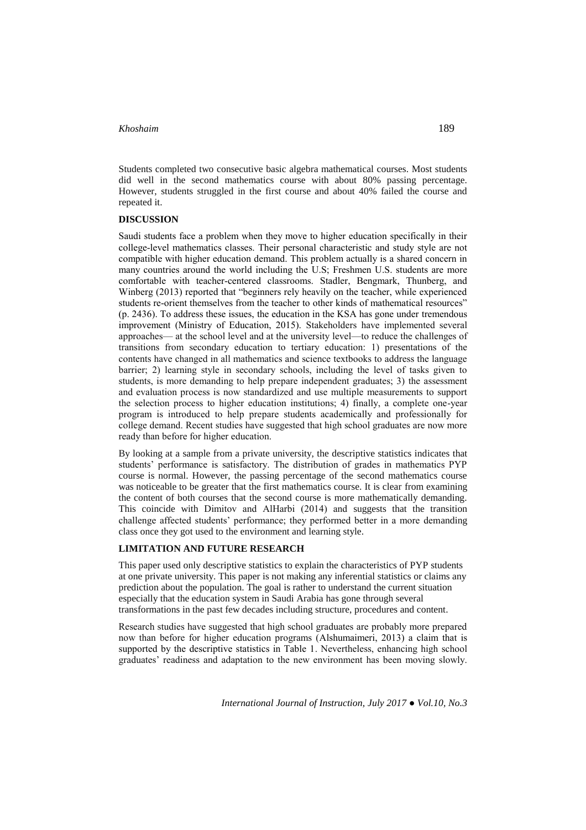Students completed two consecutive basic algebra mathematical courses. Most students did well in the second mathematics course with about 80% passing percentage. However, students struggled in the first course and about 40% failed the course and repeated it.

### **DISCUSSION**

Saudi students face a problem when they move to higher education specifically in their college-level mathematics classes. Their personal characteristic and study style are not compatible with higher education demand. This problem actually is a shared concern in many countries around the world including the U.S; Freshmen U.S. students are more comfortable with teacher-centered classrooms. Stadler, Bengmark, Thunberg, and Winberg (2013) reported that "beginners rely heavily on the teacher, while experienced students re-orient themselves from the teacher to other kinds of mathematical resources" (p. 2436). To address these issues, the education in the KSA has gone under tremendous improvement (Ministry of Education, 2015). Stakeholders have implemented several approaches— at the school level and at the university level—to reduce the challenges of transitions from secondary education to tertiary education: 1) presentations of the contents have changed in all mathematics and science textbooks to address the language barrier; 2) learning style in secondary schools, including the level of tasks given to students, is more demanding to help prepare independent graduates; 3) the assessment and evaluation process is now standardized and use multiple measurements to support the selection process to higher education institutions; 4) finally, a complete one-year program is introduced to help prepare students academically and professionally for college demand. Recent studies have suggested that high school graduates are now more ready than before for higher education.

By looking at a sample from a private university, the descriptive statistics indicates that students' performance is satisfactory. The distribution of grades in mathematics PYP course is normal. However, the passing percentage of the second mathematics course was noticeable to be greater that the first mathematics course. It is clear from examining the content of both courses that the second course is more mathematically demanding. This coincide with Dimitov and AlHarbi (2014) and suggests that the transition challenge affected students' performance; they performed better in a more demanding class once they got used to the environment and learning style.

# **LIMITATION AND FUTURE RESEARCH**

This paper used only descriptive statistics to explain the characteristics of PYP students at one private university. This paper is not making any inferential statistics or claims any prediction about the population. The goal is rather to understand the current situation especially that the education system in Saudi Arabia has gone through several transformations in the past few decades including structure, procedures and content.

Research studies have suggested that high school graduates are probably more prepared now than before for higher education programs (Alshumaimeri, 2013) a claim that is supported by the descriptive statistics in Table 1. Nevertheless, enhancing high school graduates' readiness and adaptation to the new environment has been moving slowly.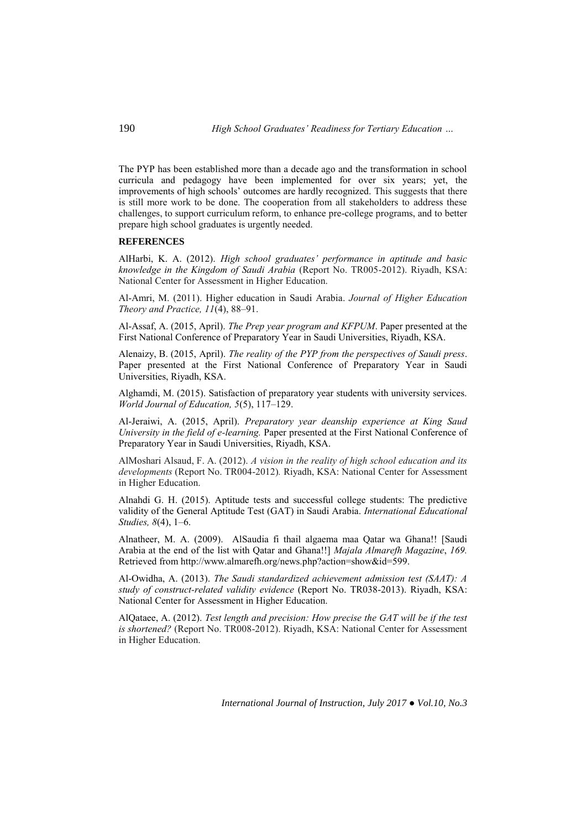The PYP has been established more than a decade ago and the transformation in school curricula and pedagogy have been implemented for over six years; yet, the improvements of high schools' outcomes are hardly recognized. This suggests that there is still more work to be done. The cooperation from all stakeholders to address these challenges, to support curriculum reform, to enhance pre-college programs, and to better prepare high school graduates is urgently needed.

### **REFERENCES**

AlHarbi, K. A. (2012). *High school graduates' performance in aptitude and basic knowledge in the Kingdom of Saudi Arabia* (Report No. TR005-2012). Riyadh, KSA: National Center for Assessment in Higher Education.

Al-Amri, M. (2011). Higher education in Saudi Arabia. *Journal of Higher Education Theory and Practice, 11*(4), 88–91.

Al-Assaf, A. (2015, April). *The Prep year program and KFPUM*. Paper presented at the First National Conference of Preparatory Year in Saudi Universities, Riyadh, KSA.

Alenaizy, B. (2015, April). *The reality of the PYP from the perspectives of Saudi press*. Paper presented at the First National Conference of Preparatory Year in Saudi Universities, Riyadh, KSA.

Alghamdi, M. (2015). Satisfaction of preparatory year students with university services. *World Journal of Education, 5*(5), 117–129.

Al-Jeraiwi, A. (2015, April). *Preparatory year deanship experience at King Saud University in the field of e-learning.* Paper presented at the First National Conference of Preparatory Year in Saudi Universities, Riyadh, KSA.

AlMoshari Alsaud, F. A. (2012). *A vision in the reality of high school education and its developments* (Report No. TR004-2012)*.* Riyadh, KSA: National Center for Assessment in Higher Education.

Alnahdi G. H. (2015). Aptitude tests and successful college students: The predictive validity of the General Aptitude Test (GAT) in Saudi Arabia. *International Educational Studies, 8*(4), 1–6.

Alnatheer, M. A. (2009). AlSaudia fi thail algaema maa Qatar wa Ghana!! [Saudi Arabia at the end of the list with Qatar and Ghana!!] *Majala Almarefh Magazine*, *169.*  Retrieved fro[m http://www.almarefh.org/news.php?action=show&id=599.](http://www.almarefh.org/news.php?action=show&id=599)

Al-Owidha, A. (2013). *The Saudi standardized achievement admission test (SAAT): A study of construct-related validity evidence* (Report No. TR038-2013). Riyadh, KSA: National Center for Assessment in Higher Education.

AlQataee, A. (2012). *Test length and precision: How precise the GAT will be if the test is shortened?* (Report No. TR008-2012). Riyadh, KSA: National Center for Assessment in Higher Education.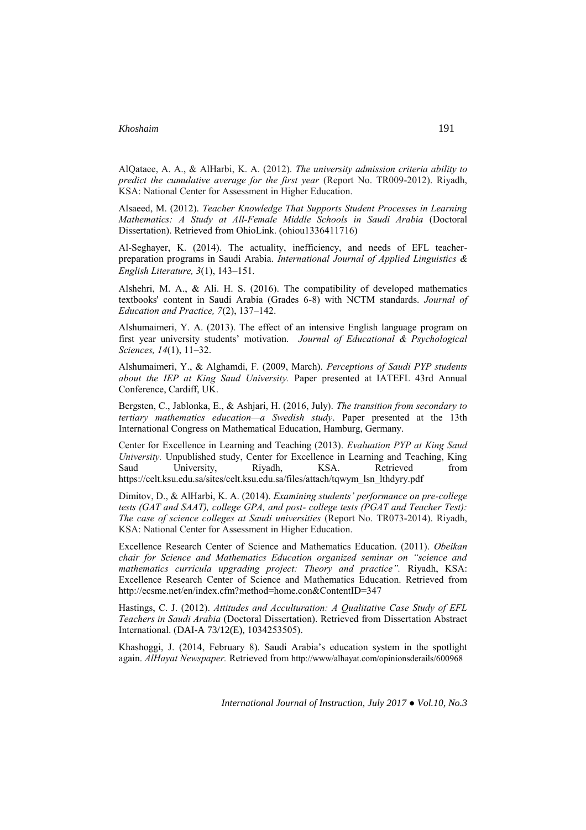AlQataee, A. A., & AlHarbi, K. A. (2012). *The university admission criteria ability to predict the cumulative average for the first year* (Report No. TR009-2012). Riyadh, KSA: National Center for Assessment in Higher Education.

Alsaeed, M. (2012). *Teacher Knowledge That Supports Student Processes in Learning Mathematics: A Study at All-Female Middle Schools in Saudi Arabia* (Doctoral Dissertation). Retrieved from OhioLink. (ohiou1336411716)

Al-Seghayer, K. (2014). The actuality, inefficiency, and needs of EFL teacherpreparation programs in Saudi Arabia. *International Journal of Applied Linguistics & English Literature, 3*(1), 143–151.

Alshehri, M. A., & Ali. H. S. (2016). The compatibility of developed mathematics textbooks' content in Saudi Arabia (Grades 6-8) with NCTM standards. *Journal of Education and Practice, 7*(2), 137–142.

Alshumaimeri, Y. A. (2013). The effect of an intensive English language program on first year university students' motivation. *Journal of Educational & Psychological Sciences, 14*(1), 11–32.

Alshumaimeri, Y., & Alghamdi, F. (2009, March). *Perceptions of Saudi PYP students about the IEP at King Saud University.* Paper presented at IATEFL 43rd Annual Conference, Cardiff, UK.

Bergsten, C., Jablonka, E., & Ashjari, H. (2016, July). *The transition from secondary to tertiary mathematics education—a Swedish study*. Paper presented at the 13th International Congress on Mathematical Education, Hamburg, Germany.

Center for Excellence in Learning and Teaching (2013). *Evaluation PYP at King Saud University.* Unpublished study, Center for Excellence in Learning and Teaching, King Saud University, Riyadh, KSA. Retrieved from [https://celt.ksu.edu.sa/sites/celt.ksu.edu.sa/files/attach/tqwym\\_lsn\\_lthdyry.pdf](https://celt.ksu.edu.sa/sites/celt.ksu.edu.sa/files/attach/tqwym_lsn_lthdyry.pdf)

Dimitov, D., & AlHarbi, K. A. (2014). *Examining students' performance on pre-college tests (GAT and SAAT), college GPA, and post- college tests (PGAT and Teacher Test): The case of science colleges at Saudi universities* (Report No. TR073-2014). Riyadh, KSA: National Center for Assessment in Higher Education.

Excellence Research Center of Science and Mathematics Education. (2011). *Obeikan chair for Science and Mathematics Education organized seminar on "science and mathematics curricula upgrading project: Theory and practice".* Riyadh, KSA: Excellence Research Center of Science and Mathematics Education. Retrieved from <http://ecsme.net/en/index.cfm?method=home.con&ContentID=347>

Hastings, C. J. (2012). *Attitudes and Acculturation: A Qualitative Case Study of EFL Teachers in Saudi Arabia* (Doctoral Dissertation). Retrieved from Dissertation Abstract International. (DAI-A 73/12(E), 1034253505).

Khashoggi, J. (2014, February 8). Saudi Arabia's education system in the spotlight again. *AlHayat Newspaper.* Retrieved from http://www/alhayat.com/opinionsderails/600968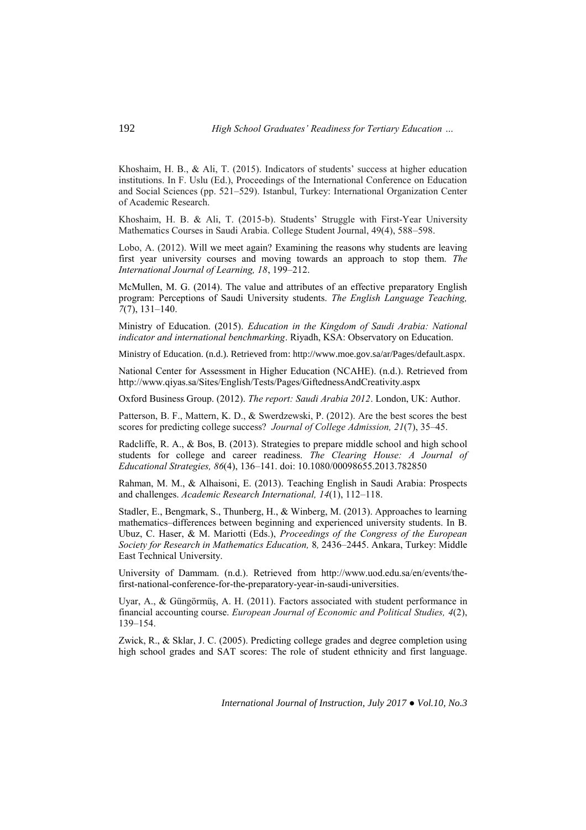Khoshaim, H. B., & Ali, T. (2015). Indicators of students' success at higher education institutions. In F. Uslu (Ed.), Proceedings of the International Conference on Education and Social Sciences (pp. 521–529). Istanbul, Turkey: International Organization Center of Academic Research.

Khoshaim, H. B. & Ali, T. (2015-b). Students' Struggle with First-Year University Mathematics Courses in Saudi Arabia. College Student Journal, 49(4), 588–598.

Lobo, A. (2012). Will we meet again? Examining the reasons why students are leaving first year university courses and moving towards an approach to stop them. *The International Journal of Learning, 18*, 199–212.

McMullen, M. G. (2014). The value and attributes of an effective preparatory English program: Perceptions of Saudi University students. *The English Language Teaching, 7*(7), 131–140.

Ministry of Education. (2015). *Education in the Kingdom of Saudi Arabia: National indicator and international benchmarking*. Riyadh, KSA: Observatory on Education.

Ministry of Education. (n.d.). Retrieved from: [http://www.moe.gov.sa/ar/Pages/default.aspx.](http://www.moe.gov.sa/ar/Pages/default.aspx)

National Center for Assessment in Higher Education (NCAHE). (n.d.). Retrieved from <http://www.qiyas.sa/Sites/English/Tests/Pages/GiftednessAndCreativity.aspx>

Oxford Business Group. (2012). *The report: Saudi Arabia 2012*. London, UK: Author.

Patterson, B. F., Mattern, K. D., & Swerdzewski, P. (2012). Are the best scores the best scores for predicting college success? *Journal of College Admission, 21*(7), 35–45.

Radcliffe, R. A., & Bos, B. (2013). Strategies to prepare middle school and high school students for college and career readiness. *The Clearing House: A Journal of Educational Strategies, 86*(4), 136–141. doi: 10.1080/00098655.2013.782850

Rahman, M. M., & Alhaisoni, E. (2013). Teaching English in Saudi Arabia: Prospects and challenges. *Academic Research International, 14*(1), 112–118.

Stadler, E., Bengmark, S., Thunberg, H., & Winberg, M. (2013). Approaches to learning mathematics–differences between beginning and experienced university students. In B. Ubuz, C. Haser, & M. Mariotti (Eds.), *Proceedings of the Congress of the European Society for Research in Mathematics Education,* 8*,* 2436–2445. Ankara, Turkey: Middle East Technical University.

University of Dammam. (n.d.). Retrieved from [http://www.uod.edu.sa/en/events/the](http://www.uod.edu.sa/en/events/the-first-national-conference-for-the-preparatory-year-in-saudi-universities)[first-national-conference-for-the-preparatory-year-in-saudi-universities.](http://www.uod.edu.sa/en/events/the-first-national-conference-for-the-preparatory-year-in-saudi-universities)

Uyar, A., & Güngörmüş, A. H. (2011). Factors associated with student performance in financial accounting course. *European Journal of Economic and Political Studies, 4*(2), 139–154.

Zwick, R., & Sklar, J. C. (2005). Predicting college grades and degree completion using high school grades and SAT scores: The role of student ethnicity and first language.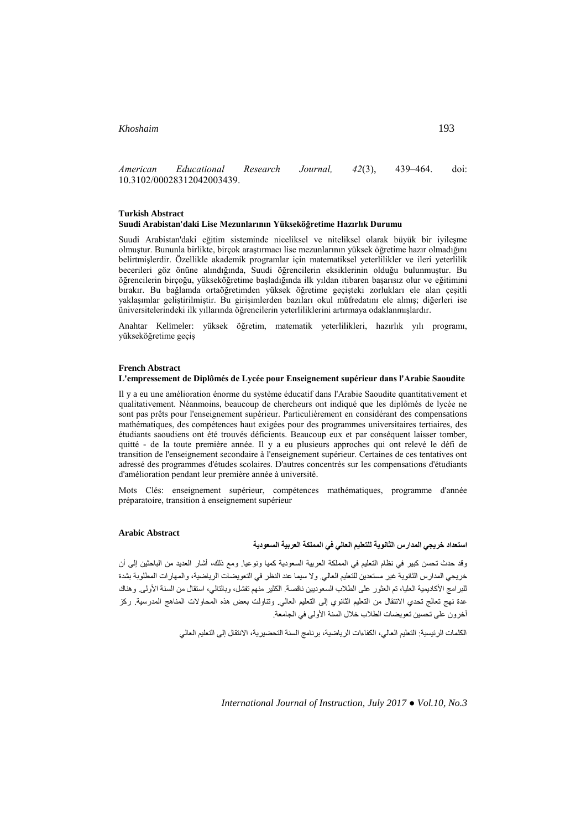*American Educational Research Journal, 42*(3), 439–464. doi: 10.3102/00028312042003439.

#### **Turkish Abstract Suudi Arabistan'daki Lise Mezunlarının Yükseköğretime Hazırlık Durumu**

Suudi Arabistan'daki eğitim sisteminde niceliksel ve niteliksel olarak büyük bir iyileşme olmuştur. Bununla birlikte, birçok araştırmacı lise mezunlarının yüksek öğretime hazır olmadığını belirtmişlerdir. Özellikle akademik programlar için matematiksel yeterlilikler ve ileri yeterlilik becerileri göz önüne alındığında, Suudi öğrencilerin eksiklerinin olduğu bulunmuştur. Bu öğrencilerin birçoğu, yükseköğretime başladığında ilk yıldan itibaren başarısız olur ve eğitimini bırakır. Bu bağlamda ortaöğretimden yüksek öğretime geçişteki zorlukları ele alan çeşitli yaklaşımlar geliştirilmiştir. Bu girişimlerden bazıları okul müfredatını ele almış; diğerleri ise üniversitelerindeki ilk yıllarında öğrencilerin yeterliliklerini artırmaya odaklanmışlardır.

Anahtar Kelimeler: yüksek öğretim, matematik yeterlilikleri, hazırlık yılı programı, yükseköğretime geçiş

#### **French Abstract**

#### **L'empressement de Diplômés de Lycée pour Enseignement supérieur dans l'Arabie Saoudite**

Il y a eu une amélioration énorme du système éducatif dans l'Arabie Saoudite quantitativement et qualitativement. Néanmoins, beaucoup de chercheurs ont indiqué que les diplômés de lycée ne sont pas prêts pour l'enseignement supérieur. Particulièrement en considérant des compensations mathématiques, des compétences haut exigées pour des programmes universitaires tertiaires, des étudiants saoudiens ont été trouvés déficients. Beaucoup eux et par conséquent laisser tomber, quitté - de la toute première année. Il y a eu plusieurs approches qui ont relevé le défi de transition de l'enseignement secondaire à l'enseignement supérieur. Certaines de ces tentatives ont adressé des programmes d'études scolaires. D'autres concentrés sur les compensations d'étudiants d'amélioration pendant leur première année à université.

Mots Clés: enseignement supérieur, compétences mathématiques, programme d'année préparatoire, transition à enseignement supérieur

#### **Arabic Abstract**

#### **استعداد خريجي المدارس الثانوية للتعليم العالي في المملكة العربية السعودية**

وقد حدث تحسن كبير في نظام التعليم في المملكة العربية السعودية كميا ونوعيا. ومع ذلك، أشار العديد من الباحثين إلى أن خريجي المدارس الثانوية غير مستعدين للتعليم العالي ولا سيما عند النظر في التعويضات الرياضية، والمهارات المطلوبة بشدة للبرامج الأكاديمية العليا، تم العثور على الطلاب السعوديين ناقصة. الكثير منهم تفشل، وبالتالي، استقال من السنة الأولى وهناك عدة نهج تعالج تحدي الانتقال من التعليم الثانوي إلى التعليم العالمي وتناولت بعض هذه المحاولات المناهج المدرسية ركز آخرون على تحسين تعويضات الطلاب خلال السنة الأولى في الجامعة

الكلمات الرئيسية: التعليم العالي، الكفاءات الرياضية، برنامج السنة التحضيرية، االنتقال إلى التعليم العالي